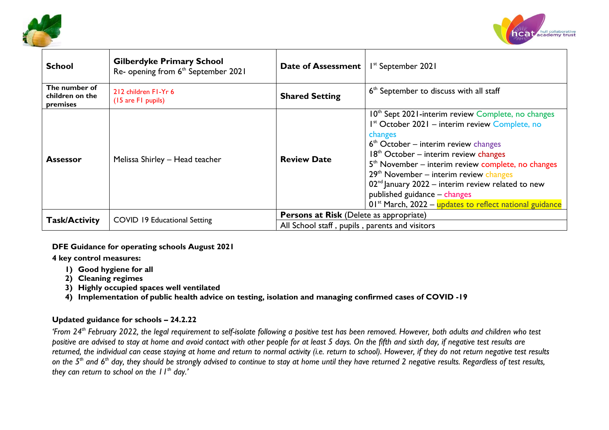



| <b>School</b>                                | <b>Gilberdyke Primary School</b><br>Re- opening from 6 <sup>th</sup> September 2021 | Date of Assessment                             | I <sup>st</sup> September 2021                                                                                                                                                                                                                                                                                                                                                                                                                                                       |  |  |  |
|----------------------------------------------|-------------------------------------------------------------------------------------|------------------------------------------------|--------------------------------------------------------------------------------------------------------------------------------------------------------------------------------------------------------------------------------------------------------------------------------------------------------------------------------------------------------------------------------------------------------------------------------------------------------------------------------------|--|--|--|
| The number of<br>children on the<br>premises | 212 children F1-Yr 6<br>(15 are F1 pupils)                                          | <b>Shared Setting</b>                          | 6 <sup>th</sup> September to discuss with all staff                                                                                                                                                                                                                                                                                                                                                                                                                                  |  |  |  |
| <b>Assessor</b>                              | Melissa Shirley - Head teacher                                                      | <b>Review Date</b>                             | 10 <sup>th</sup> Sept 2021-interim review Complete, no changes<br>I <sup>st</sup> October 2021 – interim review Complete, no<br>changes<br>$6th$ October – interim review changes<br>$18th$ October – interim review changes<br>$5th$ November – interim review complete, no changes<br>$29th$ November – interim review changes<br>$02nd$ January 2022 – interim review related to new<br>published guidance - changes<br>$01st$ March, 2022 – updates to reflect national guidance |  |  |  |
| <b>Task/Activity</b>                         | <b>COVID 19 Educational Setting</b>                                                 | <b>Persons at Risk (Delete as appropriate)</b> |                                                                                                                                                                                                                                                                                                                                                                                                                                                                                      |  |  |  |
|                                              |                                                                                     | All School staff, pupils, parents and visitors |                                                                                                                                                                                                                                                                                                                                                                                                                                                                                      |  |  |  |

### **DFE Guidance for operating schools August 2021**

**4 key control measures:**

- **1) Good hygiene for all**
- **2) Cleaning regimes**
- **3) Highly occupied spaces well ventilated**
- **4) Implementation of public health advice on testing, isolation and managing confirmed cases of COVID -19**

# **Updated guidance for schools – 24.2.22**

*'From 24th February 2022, the legal requirement to self-isolate following a positive test has been removed. However, both adults and children who test positive are advised to stay at home and avoid contact with other people for at least 5 days. On the fifth and sixth day, if negative test results are returned, the individual can cease staying at home and return to normal activity (i.e. return to school). However, if they do not return negative test results on the 5th and 6th day, they should be strongly advised to continue to stay at home until they have returned 2 negative results. Regardless of test results, they can return to school on the 11th day.'*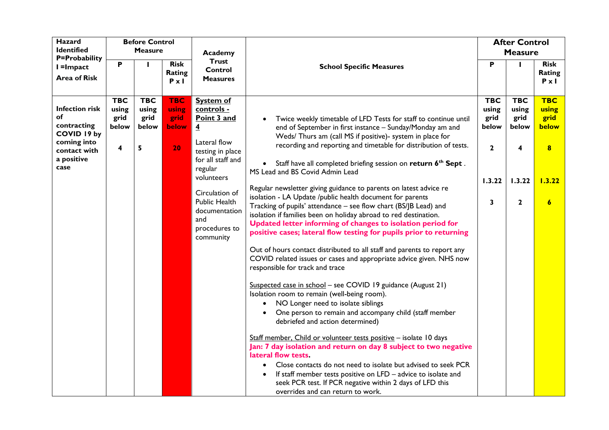| <b>Hazard</b>                                                                                                  |                                           | <b>Before Control</b>                     |                                                            |                                                                                                                                                                                                                                                               |                                                                                                                                                                                                                                                                                                                                                                                                                                                                                                                                                                                                                                                                                                                                                                                                                                                                                                                                                                                                                                                                                                                                                                                                                                                                                                                                                                                                                   |                                                                     | <b>After Control</b>                                                |                                                                                                |
|----------------------------------------------------------------------------------------------------------------|-------------------------------------------|-------------------------------------------|------------------------------------------------------------|---------------------------------------------------------------------------------------------------------------------------------------------------------------------------------------------------------------------------------------------------------------|-------------------------------------------------------------------------------------------------------------------------------------------------------------------------------------------------------------------------------------------------------------------------------------------------------------------------------------------------------------------------------------------------------------------------------------------------------------------------------------------------------------------------------------------------------------------------------------------------------------------------------------------------------------------------------------------------------------------------------------------------------------------------------------------------------------------------------------------------------------------------------------------------------------------------------------------------------------------------------------------------------------------------------------------------------------------------------------------------------------------------------------------------------------------------------------------------------------------------------------------------------------------------------------------------------------------------------------------------------------------------------------------------------------------|---------------------------------------------------------------------|---------------------------------------------------------------------|------------------------------------------------------------------------------------------------|
| <b>Identified</b><br>P=Probability                                                                             |                                           | <b>Measure</b>                            |                                                            | Academy                                                                                                                                                                                                                                                       |                                                                                                                                                                                                                                                                                                                                                                                                                                                                                                                                                                                                                                                                                                                                                                                                                                                                                                                                                                                                                                                                                                                                                                                                                                                                                                                                                                                                                   |                                                                     | <b>Measure</b>                                                      |                                                                                                |
| $l =$ Impact                                                                                                   | P                                         |                                           | <b>Risk</b>                                                | <b>Trust</b><br>Control                                                                                                                                                                                                                                       | <b>School Specific Measures</b>                                                                                                                                                                                                                                                                                                                                                                                                                                                                                                                                                                                                                                                                                                                                                                                                                                                                                                                                                                                                                                                                                                                                                                                                                                                                                                                                                                                   | P                                                                   | п                                                                   | <b>Risk</b>                                                                                    |
| <b>Area of Risk</b>                                                                                            |                                           |                                           | Rating                                                     |                                                                                                                                                                                                                                                               |                                                                                                                                                                                                                                                                                                                                                                                                                                                                                                                                                                                                                                                                                                                                                                                                                                                                                                                                                                                                                                                                                                                                                                                                                                                                                                                                                                                                                   |                                                                     |                                                                     | Rating                                                                                         |
|                                                                                                                |                                           |                                           |                                                            |                                                                                                                                                                                                                                                               |                                                                                                                                                                                                                                                                                                                                                                                                                                                                                                                                                                                                                                                                                                                                                                                                                                                                                                                                                                                                                                                                                                                                                                                                                                                                                                                                                                                                                   |                                                                     |                                                                     |                                                                                                |
| <b>Infection risk</b><br>оf<br>contracting<br>COVID 19 by<br>coming into<br>contact with<br>a positive<br>case | <b>TBC</b><br>using<br>grid<br>below<br>4 | <b>TBC</b><br>using<br>grid<br>below<br>5 | $P \times I$<br><b>TBC</b><br>using<br>grid<br>below<br>20 | <b>Measures</b><br><b>System of</b><br>controls -<br>Point 3 and<br>$\overline{4}$<br>Lateral flow<br>testing in place<br>for all staff and<br>regular<br>volunteers<br>Circulation of<br>Public Health<br>documentation<br>and<br>procedures to<br>community | Twice weekly timetable of LFD Tests for staff to continue until<br>end of September in first instance - Sunday/Monday am and<br>Weds/ Thurs am (call MS if positive)- system in place for<br>recording and reporting and timetable for distribution of tests.<br>Staff have all completed briefing session on return 6 <sup>th</sup> Sept.<br>MS Lead and BS Covid Admin Lead<br>Regular newsletter giving guidance to parents on latest advice re<br>isolation - LA Update /public health document for parents<br>Tracking of pupils' attendance - see flow chart (BS/JB Lead) and<br>isolation if families been on holiday abroad to red destination.<br>Updated letter informing of changes to isolation period for<br>positive cases; lateral flow testing for pupils prior to returning<br>Out of hours contact distributed to all staff and parents to report any<br>COVID related issues or cases and appropriate advice given. NHS now<br>responsible for track and trace<br>Suspected case in school - see COVID 19 guidance (August 21)<br>Isolation room to remain (well-being room).<br>NO Longer need to isolate siblings<br>$\bullet$<br>One person to remain and accompany child (staff member<br>debriefed and action determined)<br>Staff member, Child or volunteer tests positive - isolate 10 days<br>Jan: 7 day isolation and return on day 8 subject to two negative<br>lateral flow tests. | <b>TBC</b><br>using<br>grid<br>below<br>$\mathbf{2}$<br>1.3.22<br>3 | <b>TBC</b><br>using<br>grid<br>below<br>4<br>1.3.22<br>$\mathbf{2}$ | $P \times I$<br><b>TBC</b><br>using<br>grid<br>below<br>$\bf{8}$<br>1.3.22<br>$\boldsymbol{6}$ |
|                                                                                                                |                                           |                                           |                                                            |                                                                                                                                                                                                                                                               | Close contacts do not need to isolate but advised to seek PCR<br>If staff member tests positive on LFD - advice to isolate and<br>seek PCR test. If PCR negative within 2 days of LFD this<br>overrides and can return to work.                                                                                                                                                                                                                                                                                                                                                                                                                                                                                                                                                                                                                                                                                                                                                                                                                                                                                                                                                                                                                                                                                                                                                                                   |                                                                     |                                                                     |                                                                                                |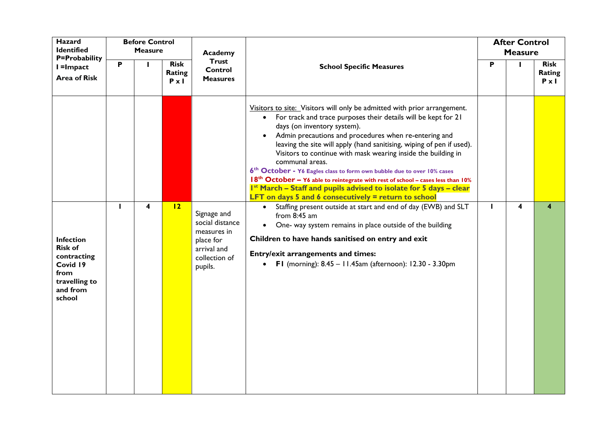| Hazard<br><b>Identified</b><br>P=Probability                                                                 |              | <b>Before Control</b><br><b>Measure</b> |                                       | Academy                                                                                               |                                                                                                                                                                                                                                                                                                                                                                                                                                                                                                                                                                                                                                                                                                                                                                                                                                                                                                                                                                                                                                                                                   |   | <b>After Control</b><br><b>Measure</b> |                                       |
|--------------------------------------------------------------------------------------------------------------|--------------|-----------------------------------------|---------------------------------------|-------------------------------------------------------------------------------------------------------|-----------------------------------------------------------------------------------------------------------------------------------------------------------------------------------------------------------------------------------------------------------------------------------------------------------------------------------------------------------------------------------------------------------------------------------------------------------------------------------------------------------------------------------------------------------------------------------------------------------------------------------------------------------------------------------------------------------------------------------------------------------------------------------------------------------------------------------------------------------------------------------------------------------------------------------------------------------------------------------------------------------------------------------------------------------------------------------|---|----------------------------------------|---------------------------------------|
| I =Impact<br><b>Area of Risk</b>                                                                             | P            |                                         | <b>Risk</b><br>Rating<br>$P \times I$ | <b>Trust</b><br><b>Control</b><br><b>Measures</b>                                                     | <b>School Specific Measures</b>                                                                                                                                                                                                                                                                                                                                                                                                                                                                                                                                                                                                                                                                                                                                                                                                                                                                                                                                                                                                                                                   | P | п                                      | <b>Risk</b><br>Rating<br>$P \times I$ |
| <b>Infection</b><br><b>Risk of</b><br>contracting<br>Covid 19<br>from<br>travelling to<br>and from<br>school | $\mathbf{I}$ | 4                                       | 12                                    | Signage and<br>social distance<br>measures in<br>place for<br>arrival and<br>collection of<br>pupils. | Visitors to site: Visitors will only be admitted with prior arrangement.<br>For track and trace purposes their details will be kept for 21<br>$\bullet$<br>days (on inventory system).<br>Admin precautions and procedures when re-entering and<br>leaving the site will apply (hand sanitising, wiping of pen if used).<br>Visitors to continue with mask wearing inside the building in<br>communal areas.<br>6 <sup>th</sup> October - Y6 Eagles class to form own bubble due to over 10% cases<br>18 <sup>th</sup> October - Y6 able to reintegrate with rest of school - cases less than 10%<br>I <sup>st</sup> March - Staff and pupils advised to isolate for 5 days - clear<br>LFT on days 5 and 6 consecutively $=$ return to school<br>Staffing present outside at start and end of day (EWB) and SLT<br>$\bullet$<br>from $8:45$ am<br>One- way system remains in place outside of the building<br>Children to have hands sanitised on entry and exit<br><b>Entry/exit arrangements and times:</b><br>• FI (morning): $8.45 - 11.45$ am (afternoon): $12.30 - 3.30$ pm |   | 4                                      | 4                                     |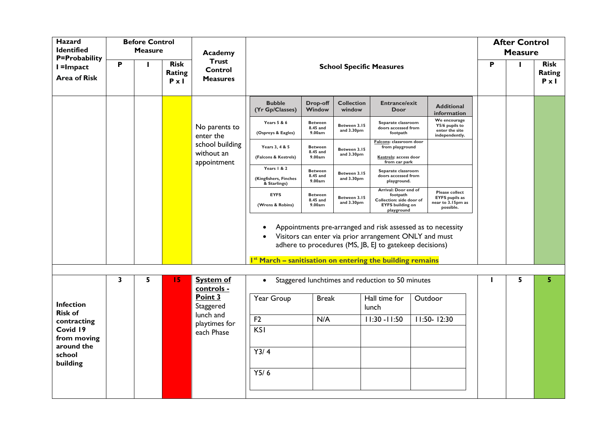| Hazard<br><b>Identified</b>                                    |   | <b>Before Control</b><br><b>Measure</b> |                                       | Academy                                      |                                                                       |                                      |                             |                                                                                                       |                                                                                                                       |   | <b>After Control</b><br><b>Measure</b> |                                       |
|----------------------------------------------------------------|---|-----------------------------------------|---------------------------------------|----------------------------------------------|-----------------------------------------------------------------------|--------------------------------------|-----------------------------|-------------------------------------------------------------------------------------------------------|-----------------------------------------------------------------------------------------------------------------------|---|----------------------------------------|---------------------------------------|
| <b>P=Probability</b><br>I =Impact<br><b>Area of Risk</b>       | P |                                         | <b>Risk</b><br>Rating<br>$P \times I$ | <b>Trust</b><br>Control<br><b>Measures</b>   |                                                                       |                                      |                             | <b>School Specific Measures</b>                                                                       |                                                                                                                       | P | $\mathbf{I}$                           | <b>Risk</b><br>Rating<br>$P \times I$ |
|                                                                |   |                                         |                                       |                                              | <b>Bubble</b><br>(Yr Gp/Classes)                                      | Drop-off<br>Window                   | <b>Collection</b><br>window | <b>Entrance/exit</b><br><b>Door</b>                                                                   | <b>Additional</b><br>information                                                                                      |   |                                        |                                       |
|                                                                |   |                                         |                                       | No parents to<br>enter the                   | Years 5 & 6<br>(Ospreys & Eagles)                                     | <b>Between</b><br>8.45 and<br>9.00am | Between 3.15<br>and 3.30pm  | Separate classroom<br>doors accessed from<br>footpath                                                 | We encourage<br>Y5/6 pupils to<br>enter the site<br>independently.                                                    |   |                                        |                                       |
|                                                                |   |                                         |                                       | school building<br>without an<br>appointment | Years 3, 4 & 5<br>(Falcons & Kestrels)                                | <b>Between</b><br>8.45 and<br>9.00am | Between 3.15<br>and 3.30pm  | Falcons: classroom door<br>from playground<br>Kestrels: access door<br>from car park                  |                                                                                                                       |   |                                        |                                       |
|                                                                |   |                                         |                                       |                                              | Years   & 2<br>(Kingfishers, Finches<br>& Starlings)                  | <b>Between</b><br>8.45 and<br>9.00am | Between 3.15<br>and 3.30pm  | Separate classroom<br>doors accessed from<br>playground.                                              |                                                                                                                       |   |                                        |                                       |
|                                                                |   |                                         |                                       |                                              | <b>EYFS</b><br>(Wrens & Robins)                                       | <b>Between</b><br>8.45 and<br>9.00am | Between 3.15<br>and 3.30pm  | Arrival: Door end of<br>footpath<br>Collection: side door of<br><b>EYFS</b> building on<br>playground | <b>Please collect</b><br><b>EYFS</b> pupils as<br>near to 3.15pm as<br>possible.                                      |   |                                        |                                       |
|                                                                |   |                                         |                                       |                                              | I <sup>st</sup> March - sanitisation on entering the building remains |                                      |                             | adhere to procedures (MS, JB, EJ to gatekeep decisions)                                               | Appointments pre-arranged and risk assessed as to necessity<br>Visitors can enter via prior arrangement ONLY and must |   |                                        |                                       |
|                                                                | 3 | 5                                       | 15                                    | <b>System of</b><br>controls -               | $\bullet$                                                             |                                      |                             | Staggered lunchtimes and reduction to 50 minutes                                                      |                                                                                                                       |   | 5                                      | 5                                     |
| <b>Infection</b><br><b>Risk of</b>                             |   |                                         |                                       | Point 3<br>Staggered                         | Year Group                                                            | <b>Break</b>                         |                             | Hall time for<br>lunch                                                                                | Outdoor                                                                                                               |   |                                        |                                       |
| contracting<br>Covid 19<br>from moving<br>around the<br>school |   |                                         |                                       | lunch and<br>playtimes for<br>each Phase     | F <sub>2</sub><br>KSI<br>Y3/4                                         | N/A                                  |                             | $11:30 - 11:50$                                                                                       | $11:50 - 12:30$                                                                                                       |   |                                        |                                       |
| building                                                       |   |                                         |                                       |                                              | Y5/6                                                                  |                                      |                             |                                                                                                       |                                                                                                                       |   |                                        |                                       |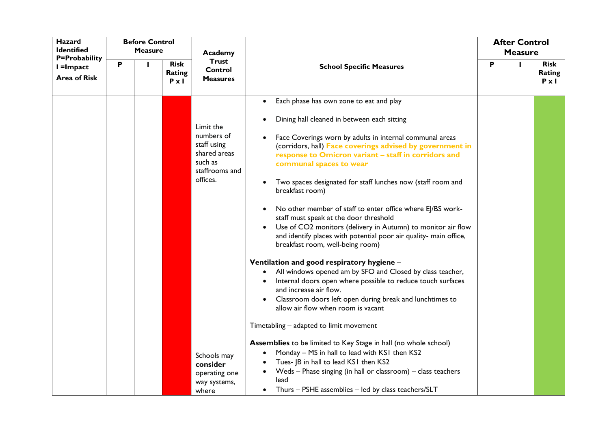| Hazard<br><b>Identified</b>                       |   | <b>Before Control</b><br><b>Measure</b> |                                       | Academy                                                                                                        |                                                                                                                                                                                                                                                                                                                                                                                                                                                                                                                                                                                                                                                                                                                                                                                                                                                                                                                                                                                                                                                                                                                                                                                                               | <b>After Control</b><br><b>Measure</b> |   |                                       |
|---------------------------------------------------|---|-----------------------------------------|---------------------------------------|----------------------------------------------------------------------------------------------------------------|---------------------------------------------------------------------------------------------------------------------------------------------------------------------------------------------------------------------------------------------------------------------------------------------------------------------------------------------------------------------------------------------------------------------------------------------------------------------------------------------------------------------------------------------------------------------------------------------------------------------------------------------------------------------------------------------------------------------------------------------------------------------------------------------------------------------------------------------------------------------------------------------------------------------------------------------------------------------------------------------------------------------------------------------------------------------------------------------------------------------------------------------------------------------------------------------------------------|----------------------------------------|---|---------------------------------------|
| P=Probability<br>I =Impact<br><b>Area of Risk</b> | P |                                         | <b>Risk</b><br>Rating<br>$P \times I$ | <b>Trust</b><br>Control<br><b>Measures</b>                                                                     | <b>School Specific Measures</b>                                                                                                                                                                                                                                                                                                                                                                                                                                                                                                                                                                                                                                                                                                                                                                                                                                                                                                                                                                                                                                                                                                                                                                               | Ρ                                      | ı | <b>Risk</b><br>Rating<br>$P \times I$ |
|                                                   |   |                                         |                                       | Limit the<br>numbers of<br>staff using<br>shared areas<br>such as<br>staffrooms and<br>offices.<br>Schools may | Each phase has own zone to eat and play<br>$\bullet$<br>Dining hall cleaned in between each sitting<br>Face Coverings worn by adults in internal communal areas<br>(corridors, hall) Face coverings advised by government in<br>response to Omicron variant - staff in corridors and<br>communal spaces to wear<br>Two spaces designated for staff lunches now (staff room and<br>breakfast room)<br>No other member of staff to enter office where EJ/BS work-<br>staff must speak at the door threshold<br>Use of CO2 monitors (delivery in Autumn) to monitor air flow<br>and identify places with potential poor air quality- main office,<br>breakfast room, well-being room)<br>Ventilation and good respiratory hygiene -<br>All windows opened am by SFO and Closed by class teacher,<br>Internal doors open where possible to reduce touch surfaces<br>and increase air flow.<br>Classroom doors left open during break and lunchtimes to<br>allow air flow when room is vacant<br>Timetabling - adapted to limit movement<br>Assemblies to be limited to Key Stage in hall (no whole school)<br>Monday - MS in hall to lead with KS1 then KS2<br>$\bullet$<br>Tues- JB in hall to lead KS1 then KS2 |                                        |   |                                       |
|                                                   |   |                                         |                                       | consider<br>operating one<br>way systems,<br>where                                                             | Weds - Phase singing (in hall or classroom) - class teachers<br>$\bullet$<br>lead<br>Thurs - PSHE assemblies - led by class teachers/SLT<br>$\bullet$                                                                                                                                                                                                                                                                                                                                                                                                                                                                                                                                                                                                                                                                                                                                                                                                                                                                                                                                                                                                                                                         |                                        |   |                                       |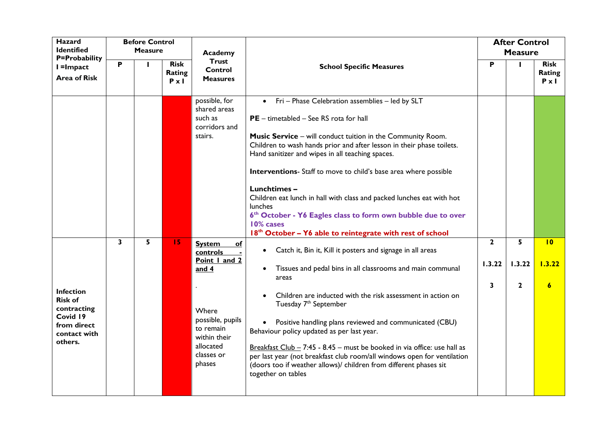| <b>Hazard</b><br><b>Identified</b>                                                                      |              | <b>Before Control</b><br><b>Measure</b> |                                       | Academy                                                                                                                                                        |                                                                                                                                                                                                                                                                                                                                                                                                                                                                                                                                                                                                                      |                             | <b>After Control</b><br><b>Measure</b> |                                       |
|---------------------------------------------------------------------------------------------------------|--------------|-----------------------------------------|---------------------------------------|----------------------------------------------------------------------------------------------------------------------------------------------------------------|----------------------------------------------------------------------------------------------------------------------------------------------------------------------------------------------------------------------------------------------------------------------------------------------------------------------------------------------------------------------------------------------------------------------------------------------------------------------------------------------------------------------------------------------------------------------------------------------------------------------|-----------------------------|----------------------------------------|---------------------------------------|
| P=Probability<br>I =Impact<br><b>Area of Risk</b>                                                       | P            |                                         | <b>Risk</b><br>Rating<br>$P \times I$ | <b>Trust</b><br>Control<br><b>Measures</b>                                                                                                                     | <b>School Specific Measures</b>                                                                                                                                                                                                                                                                                                                                                                                                                                                                                                                                                                                      | P                           | $\mathbf{I}$                           | <b>Risk</b><br>Rating<br>$P \times I$ |
|                                                                                                         |              |                                         |                                       | possible, for<br>shared areas<br>such as<br>corridors and<br>stairs.                                                                                           | • Fri - Phase Celebration assemblies - led by SLT<br>PE - timetabled - See RS rota for hall<br>Music Service - will conduct tuition in the Community Room.<br>Children to wash hands prior and after lesson in their phase toilets.<br>Hand sanitizer and wipes in all teaching spaces.<br>Interventions- Staff to move to child's base area where possible<br>Lunchtimes-<br>Children eat lunch in hall with class and packed lunches eat with hot<br>lunches<br>6th October - Y6 Eagles class to form own bubble due to over<br>10% cases<br>18 <sup>th</sup> October - Y6 able to reintegrate with rest of school |                             |                                        |                                       |
| <b>Infection</b><br><b>Risk of</b><br>contracting<br>Covid 19<br>from direct<br>contact with<br>others. | $\mathbf{3}$ | 5                                       | 15                                    | <b>System</b><br>$\Omega$<br>controls<br>Point I and 2<br>and 4<br>Where<br>possible, pupils<br>to remain<br>within their<br>allocated<br>classes or<br>phases | Catch it, Bin it, Kill it posters and signage in all areas<br>$\bullet$<br>Tissues and pedal bins in all classrooms and main communal<br>areas<br>Children are inducted with the risk assessment in action on<br>Tuesday 7 <sup>th</sup> September<br>Positive handling plans reviewed and communicated (CBU)<br>Behaviour policy updated as per last year.<br>Breakfast Club - $7:45 - 8.45 -$ must be booked in via office: use hall as<br>per last year (not breakfast club room/all windows open for ventilation<br>(doors too if weather allows)/ children from different phases sit<br>together on tables      | $\mathbf{2}$<br>1.3.22<br>3 | 5<br>1.3.22<br>$\mathbf{2}$            | 10<br>1.3.22<br>$\boldsymbol{6}$      |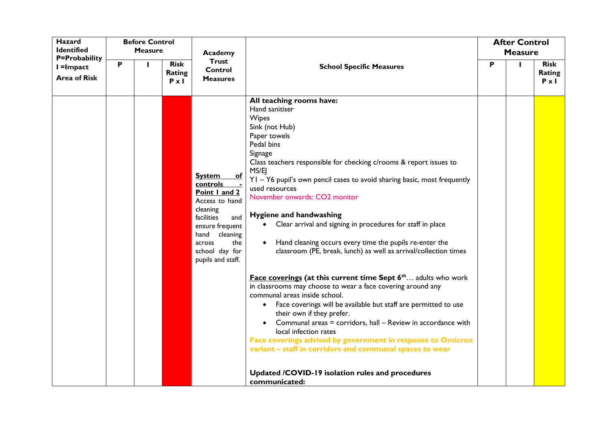| <b>Hazard</b><br><b>Identified</b>                       |   | <b>Before Control</b><br><b>Measure</b> |                                       | Academy                                                                                                                                                                                                          |                                                                                                                                                                                                                                                                                                                                                                                                                                                                                                                                                                                                                                                                                                                                                                                                                                                                                                                                                                                                                                                                                                                                                                      |   | <b>After Control</b><br><b>Measure</b> |                                       |
|----------------------------------------------------------|---|-----------------------------------------|---------------------------------------|------------------------------------------------------------------------------------------------------------------------------------------------------------------------------------------------------------------|----------------------------------------------------------------------------------------------------------------------------------------------------------------------------------------------------------------------------------------------------------------------------------------------------------------------------------------------------------------------------------------------------------------------------------------------------------------------------------------------------------------------------------------------------------------------------------------------------------------------------------------------------------------------------------------------------------------------------------------------------------------------------------------------------------------------------------------------------------------------------------------------------------------------------------------------------------------------------------------------------------------------------------------------------------------------------------------------------------------------------------------------------------------------|---|----------------------------------------|---------------------------------------|
| <b>P=Probability</b><br>I =Impact<br><b>Area of Risk</b> | P |                                         | <b>Risk</b><br>Rating<br>$P \times I$ | <b>Trust</b><br>Control<br><b>Measures</b>                                                                                                                                                                       | <b>School Specific Measures</b>                                                                                                                                                                                                                                                                                                                                                                                                                                                                                                                                                                                                                                                                                                                                                                                                                                                                                                                                                                                                                                                                                                                                      | P |                                        | <b>Risk</b><br>Rating<br>$P \times I$ |
|                                                          |   |                                         |                                       | <b>System</b><br><u>of</u><br><b>controls</b><br>Point I and 2<br>Access to hand<br>cleaning<br>facilities<br>and<br>ensure frequent<br>hand<br>cleaning<br>the<br>across<br>school day for<br>pupils and staff. | All teaching rooms have:<br>Hand sanitiser<br><b>Wipes</b><br>Sink (not Hub)<br>Paper towels<br>Pedal bins<br>Signage<br>Class teachers responsible for checking c/rooms & report issues to<br>MS/EJ<br>YI - Y6 pupil's own pencil cases to avoid sharing basic, most frequently<br>used resources<br>November onwards: CO2 monitor<br>Hygiene and handwashing<br>• Clear arrival and signing in procedures for staff in place<br>Hand cleaning occurs every time the pupils re-enter the<br>$\bullet$<br>classroom (PE, break, lunch) as well as arrival/collection times<br><b>Face coverings (at this current time Sept <math>6^{\text{th}}</math> adults who work</b><br>in classrooms may choose to wear a face covering around any<br>communal areas inside school.<br>• Face coverings will be available but staff are permitted to use<br>their own if they prefer.<br>Communal areas = corridors, hall - Review in accordance with<br>local infection rates<br>Face coverings advised by government in response to Omicron<br>variant - staff in corridors and communal spaces to wear<br>Updated /COVID-19 isolation rules and procedures<br>communicated: |   |                                        |                                       |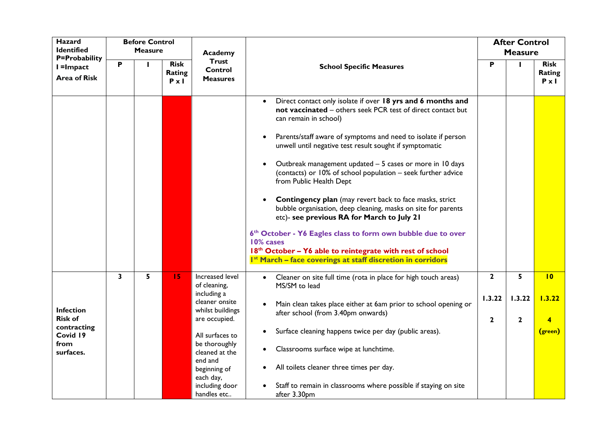| Hazard<br><b>Identified</b>         |   | <b>Before Control</b><br><b>Measure</b> |                                       |                                                |                                                                                                                                                                                                                               |              | <b>After Control</b> |                                       |
|-------------------------------------|---|-----------------------------------------|---------------------------------------|------------------------------------------------|-------------------------------------------------------------------------------------------------------------------------------------------------------------------------------------------------------------------------------|--------------|----------------------|---------------------------------------|
| <b>P=Probability</b>                |   |                                         |                                       | Academy<br><b>Trust</b>                        |                                                                                                                                                                                                                               |              | <b>Measure</b>       |                                       |
| $l =$ Impact<br><b>Area of Risk</b> | P |                                         | <b>Risk</b><br>Rating<br>$P \times I$ | Control<br><b>Measures</b>                     | <b>School Specific Measures</b>                                                                                                                                                                                               | P            | $\mathbf{I}$         | <b>Risk</b><br>Rating<br>$P \times I$ |
|                                     |   |                                         |                                       |                                                | Direct contact only isolate if over 18 yrs and 6 months and<br>not vaccinated - others seek PCR test of direct contact but<br>can remain in school)<br>Parents/staff aware of symptoms and need to isolate if person          |              |                      |                                       |
|                                     |   |                                         |                                       |                                                | unwell until negative test result sought if symptomatic<br>Outbreak management updated - 5 cases or more in 10 days<br>(contacts) or 10% of school population - seek further advice<br>from Public Health Dept                |              |                      |                                       |
|                                     |   |                                         |                                       |                                                | <b>Contingency plan</b> (may revert back to face masks, strict<br>bubble organisation, deep cleaning, masks on site for parents<br>etc)- see previous RA for March to July 21                                                 |              |                      |                                       |
|                                     |   |                                         |                                       |                                                | 6th October - Y6 Eagles class to form own bubble due to over<br>10% cases<br>18 <sup>th</sup> October - Y6 able to reintegrate with rest of school<br>I <sup>st</sup> March - face coverings at staff discretion in corridors |              |                      |                                       |
|                                     | 3 | 5                                       | 15                                    | Increased level<br>of cleaning,<br>including a | Cleaner on site full time (rota in place for high touch areas)<br>$\bullet$<br>MS/SM to lead                                                                                                                                  | $\mathbf{2}$ | 5                    | 10                                    |
| <b>Infection</b>                    |   |                                         |                                       | cleaner onsite<br>whilst buildings             | Main clean takes place either at 6am prior to school opening or<br>after school (from 3.40pm onwards)                                                                                                                         | 1.3.22       | 1.3.22               | 1.3.22                                |
| <b>Risk of</b><br>contracting       |   |                                         |                                       | are occupied.                                  |                                                                                                                                                                                                                               | $\mathbf{2}$ | $\mathbf{2}$         | 4                                     |
| Covid 19<br>from                    |   |                                         |                                       | All surfaces to<br>be thoroughly               | Surface cleaning happens twice per day (public areas).<br>$\bullet$                                                                                                                                                           |              |                      | (green)                               |
| surfaces.                           |   |                                         |                                       | cleaned at the                                 | Classrooms surface wipe at lunchtime.<br>$\bullet$                                                                                                                                                                            |              |                      |                                       |
|                                     |   |                                         |                                       | end and<br>beginning of<br>each day,           | All toilets cleaner three times per day.                                                                                                                                                                                      |              |                      |                                       |
|                                     |   |                                         |                                       | including door<br>handles etc                  | Staff to remain in classrooms where possible if staying on site<br>after 3.30pm                                                                                                                                               |              |                      |                                       |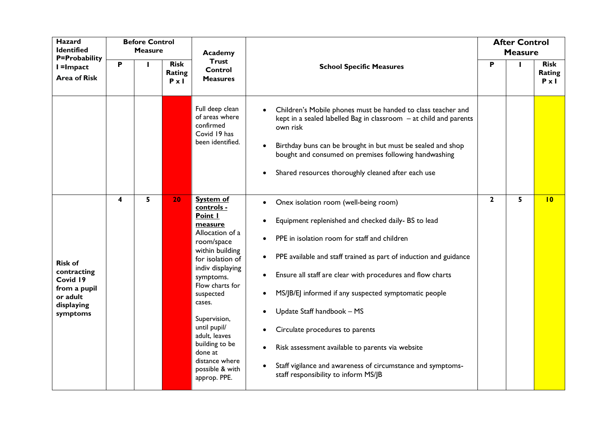| Hazard<br><b>Identified</b>                                                                     |                         | <b>Before Control</b><br><b>Measure</b> |                                       | Academy                                                                                                                                                                                                                                                                                                                                    |                                                                                                                                                                                                                                                                                                                                                                                                                                                                                                                                                                                                             |              | <b>After Control</b><br><b>Measure</b> |                                       |
|-------------------------------------------------------------------------------------------------|-------------------------|-----------------------------------------|---------------------------------------|--------------------------------------------------------------------------------------------------------------------------------------------------------------------------------------------------------------------------------------------------------------------------------------------------------------------------------------------|-------------------------------------------------------------------------------------------------------------------------------------------------------------------------------------------------------------------------------------------------------------------------------------------------------------------------------------------------------------------------------------------------------------------------------------------------------------------------------------------------------------------------------------------------------------------------------------------------------------|--------------|----------------------------------------|---------------------------------------|
| <b>P=Probability</b><br>$l =$ Impact<br><b>Area of Risk</b>                                     | P                       |                                         | <b>Risk</b><br>Rating<br>$P \times I$ | <b>Trust</b><br>Control<br><b>Measures</b>                                                                                                                                                                                                                                                                                                 | <b>School Specific Measures</b>                                                                                                                                                                                                                                                                                                                                                                                                                                                                                                                                                                             | P            | ı                                      | <b>Risk</b><br>Rating<br>$P \times I$ |
|                                                                                                 |                         |                                         |                                       | Full deep clean<br>of areas where<br>confirmed<br>Covid 19 has<br>been identified.                                                                                                                                                                                                                                                         | Children's Mobile phones must be handed to class teacher and<br>kept in a sealed labelled Bag in classroom - at child and parents<br>own risk<br>Birthday buns can be brought in but must be sealed and shop<br>bought and consumed on premises following handwashing<br>Shared resources thoroughly cleaned after each use                                                                                                                                                                                                                                                                                 |              |                                        |                                       |
| <b>Risk of</b><br>contracting<br>Covid 19<br>from a pupil<br>or adult<br>displaying<br>symptoms | $\overline{\mathbf{4}}$ | 5                                       | 20                                    | <b>System of</b><br>controls -<br>Point I<br>measure<br>Allocation of a<br>room/space<br>within building<br>for isolation of<br>indiv displaying<br>symptoms.<br>Flow charts for<br>suspected<br>cases.<br>Supervision,<br>until pupil/<br>adult. leaves<br>building to be<br>done at<br>distance where<br>possible & with<br>approp. PPE. | Onex isolation room (well-being room)<br>$\bullet$<br>Equipment replenished and checked daily- BS to lead<br>PPE in isolation room for staff and children<br>PPE available and staff trained as part of induction and guidance<br>$\bullet$<br>Ensure all staff are clear with procedures and flow charts<br>$\bullet$<br>MS/JB/EJ informed if any suspected symptomatic people<br>Update Staff handbook - MS<br>Circulate procedures to parents<br>Risk assessment available to parents via website<br>Staff vigilance and awareness of circumstance and symptoms-<br>staff responsibility to inform MS/JB | $\mathbf{2}$ | 5                                      | 10                                    |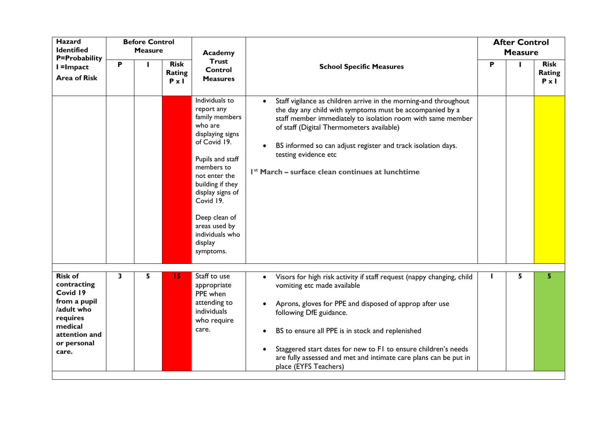| <b>Hazard</b><br><b>Identified</b>                                                                                                      |   | <b>Before Control</b><br><b>Measure</b> |                                       |                                                                                                                                                                                                                                                                                    |                                                                                                                                                                                                                                                                                                                                                                                                                            |   | <b>After Control</b> |                                       |
|-----------------------------------------------------------------------------------------------------------------------------------------|---|-----------------------------------------|---------------------------------------|------------------------------------------------------------------------------------------------------------------------------------------------------------------------------------------------------------------------------------------------------------------------------------|----------------------------------------------------------------------------------------------------------------------------------------------------------------------------------------------------------------------------------------------------------------------------------------------------------------------------------------------------------------------------------------------------------------------------|---|----------------------|---------------------------------------|
| <b>P=Probability</b>                                                                                                                    |   |                                         |                                       | Academy<br><b>Trust</b>                                                                                                                                                                                                                                                            |                                                                                                                                                                                                                                                                                                                                                                                                                            |   | <b>Measure</b>       |                                       |
| I =Impact<br><b>Area of Risk</b>                                                                                                        | P |                                         | <b>Risk</b><br>Rating<br>$P \times I$ | Control<br><b>Measures</b>                                                                                                                                                                                                                                                         | <b>School Specific Measures</b>                                                                                                                                                                                                                                                                                                                                                                                            | P |                      | <b>Risk</b><br>Rating<br>$P \times I$ |
|                                                                                                                                         |   |                                         |                                       | Individuals to<br>report any<br>family members<br>who are<br>displaying signs<br>of Covid 19.<br>Pupils and staff<br>members to<br>not enter the<br>building if they<br>display signs of<br>Covid 19.<br>Deep clean of<br>areas used by<br>individuals who<br>display<br>symptoms. | Staff vigilance as children arrive in the morning-and throughout<br>$\bullet$<br>the day any child with symptoms must be accompanied by a<br>staff member immediately to isolation room with same member<br>of staff (Digital Thermometers available)<br>BS informed so can adjust register and track isolation days.<br>testing evidence etc<br>I <sup>st</sup> March – surface clean continues at lunchtime              |   |                      |                                       |
| <b>Risk of</b><br>contracting<br>Covid 19<br>from a pupil<br>/adult who<br>requires<br>medical<br>attention and<br>or personal<br>care. | 3 | 5.                                      | 15                                    | Staff to use<br>appropriate<br>PPE when<br>attending to<br>individuals<br>who require<br>care.                                                                                                                                                                                     | Visors for high risk activity if staff request (nappy changing, child<br>$\bullet$<br>vomiting etc made available<br>Aprons, gloves for PPE and disposed of approp after use<br>following DfE guidance.<br>BS to ensure all PPE is in stock and replenished<br>Staggered start dates for new to F1 to ensure children's needs<br>are fully assessed and met and intimate care plans can be put in<br>place (EYFS Teachers) |   | 5                    | 5                                     |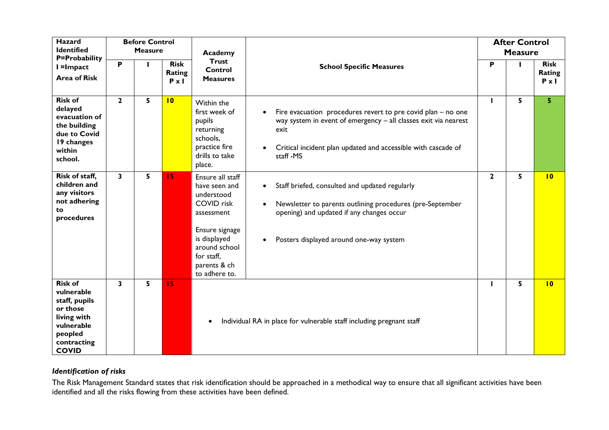| <b>Hazard</b><br><b>Identified</b><br><b>P=Probability</b>                                                                       |              | <b>Before Control</b><br><b>Measure</b> |                                       | Academy                                                                                                                                                                              |                                                                                                                                                                                                                               |                | <b>After Control</b><br><b>Measure</b> |                                       |
|----------------------------------------------------------------------------------------------------------------------------------|--------------|-----------------------------------------|---------------------------------------|--------------------------------------------------------------------------------------------------------------------------------------------------------------------------------------|-------------------------------------------------------------------------------------------------------------------------------------------------------------------------------------------------------------------------------|----------------|----------------------------------------|---------------------------------------|
| I =Impact<br><b>Area of Risk</b>                                                                                                 | P            |                                         | <b>Risk</b><br>Rating<br>$P \times I$ | <b>Trust</b><br><b>Control</b><br><b>Measures</b>                                                                                                                                    | <b>School Specific Measures</b>                                                                                                                                                                                               | P              |                                        | <b>Risk</b><br>Rating<br>$P \times I$ |
| <b>Risk of</b><br>delayed<br>evacuation of<br>the building<br>due to Covid<br>19 changes<br>within<br>school.                    | $\mathbf{2}$ | 5                                       | 10                                    | Within the<br>first week of<br>pupils<br>returning<br>schools,<br>practice fire<br>drills to take<br>place.                                                                          | Fire evacuation procedures revert to pre covid plan – no one<br>way system in event of emergency - all classes exit via nearest<br>exit<br>Critical incident plan updated and accessible with cascade of<br>staff-MS          |                | 5                                      | 5                                     |
| Risk of staff,<br>children and<br>any visitors<br>not adhering<br>to<br>procedures                                               | $\mathbf{3}$ | 5                                       | 15                                    | Ensure all staff<br>have seen and<br>understood<br><b>COVID</b> risk<br>assessment<br>Ensure signage<br>is displayed<br>around school<br>for staff,<br>parents & ch<br>to adhere to. | Staff briefed, consulted and updated regularly<br>$\bullet$<br>Newsletter to parents outlining procedures (pre-September<br>opening) and updated if any changes occur<br>Posters displayed around one-way system<br>$\bullet$ | $\overline{2}$ | 5                                      | 10                                    |
| <b>Risk of</b><br>vulnerable<br>staff, pupils<br>or those<br>living with<br>vulnerable<br>peopled<br>contracting<br><b>COVID</b> | 3            | 5                                       | 15                                    |                                                                                                                                                                                      | Individual RA in place for vulnerable staff including pregnant staff                                                                                                                                                          |                | 5                                      | 10                                    |

# *Identification of risks*

The Risk Management Standard states that risk identification should be approached in a methodical way to ensure that all significant activities have been identified and all the risks flowing from these activities have been defined.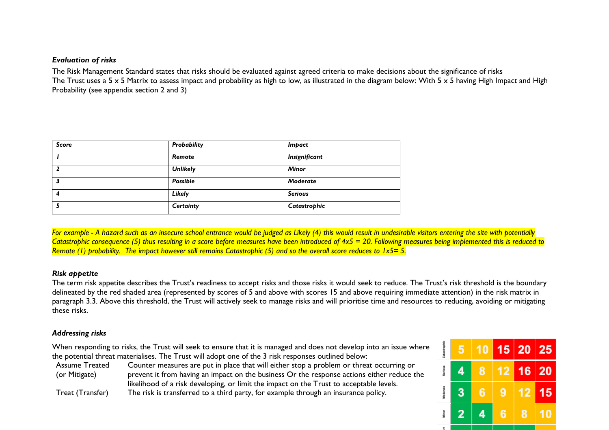### *Evaluation of risks*

The Risk Management Standard states that risks should be evaluated against agreed criteria to make decisions about the significance of risks The Trust uses a 5 x 5 Matrix to assess impact and probability as high to low, as illustrated in the diagram below: With 5 x 5 having High Impact and High Probability (see appendix section 2 and 3)

| <b>Score</b> | Probability     | <i>Impact</i>  |
|--------------|-----------------|----------------|
|              | Remote          | Insignificant  |
|              | <b>Unlikely</b> | <b>Minor</b>   |
|              | <b>Possible</b> | Moderate       |
| 4            | Likely          | <b>Serious</b> |
|              | Certainty       | Catastrophic   |

*For example - A hazard such as an insecure school entrance would be judged as Likely (4) this would result in undesirable visitors entering the site with potentially Catastrophic consequence (5) thus resulting in a score before measures have been introduced of 4x5 = 20. Following measures being implemented this is reduced to Remote (1) probability. The impact however still remains Catastrophic (5) and so the overall score reduces to 1x5= 5.* 

#### *Risk appetite*

The term risk appetite describes the Trust's readiness to accept risks and those risks it would seek to reduce. The Trust's risk threshold is the boundary delineated by the red shaded area (represented by scores of 5 and above with scores 15 and above requiring immediate attention) in the risk matrix in paragraph 3.3. Above this threshold, the Trust will actively seek to manage risks and will prioritise time and resources to reducing, avoiding or mitigating these risks.

#### *Addressing risks*

When responding to risks, the Trust will seek to ensure that it is managed and does not develop into an issue where the potential threat materialises. The Trust will adopt one of the 3 risk responses outlined below:

Assume Treated (or Mitigate) Counter measures are put in place that will either stop a problem or threat occurring or prevent it from having an impact on the business Or the response actions either reduce the likelihood of a risk developing, or limit the impact on the Trust to acceptable levels. Treat (Transfer) The risk is transferred to a third party, for example through an insurance policy.